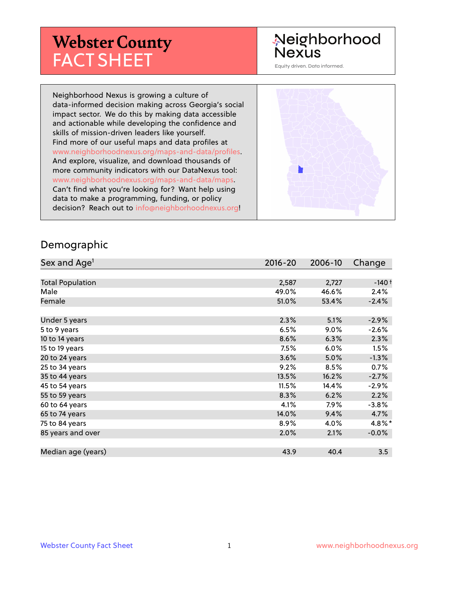# **Webster County** FACT SHEET

# Neighborhood **Nexus**

Equity driven. Data informed.

Neighborhood Nexus is growing a culture of data-informed decision making across Georgia's social impact sector. We do this by making data accessible and actionable while developing the confidence and skills of mission-driven leaders like yourself. Find more of our useful maps and data profiles at www.neighborhoodnexus.org/maps-and-data/profiles. And explore, visualize, and download thousands of more community indicators with our DataNexus tool: www.neighborhoodnexus.org/maps-and-data/maps. Can't find what you're looking for? Want help using data to make a programming, funding, or policy decision? Reach out to [info@neighborhoodnexus.org!](mailto:info@neighborhoodnexus.org)



#### Demographic

| Sex and Age <sup>1</sup> | $2016 - 20$ | 2006-10 | Change   |
|--------------------------|-------------|---------|----------|
|                          |             |         |          |
| <b>Total Population</b>  | 2,587       | 2,727   | $-140+$  |
| Male                     | 49.0%       | 46.6%   | 2.4%     |
| Female                   | 51.0%       | 53.4%   | $-2.4%$  |
|                          |             |         |          |
| Under 5 years            | 2.3%        | 5.1%    | $-2.9%$  |
| 5 to 9 years             | 6.5%        | $9.0\%$ | $-2.6\%$ |
| 10 to 14 years           | 8.6%        | 6.3%    | 2.3%     |
| 15 to 19 years           | 7.5%        | 6.0%    | 1.5%     |
| 20 to 24 years           | 3.6%        | 5.0%    | $-1.3%$  |
| 25 to 34 years           | 9.2%        | 8.5%    | 0.7%     |
| 35 to 44 years           | 13.5%       | 16.2%   | $-2.7%$  |
| 45 to 54 years           | 11.5%       | 14.4%   | $-2.9\%$ |
| 55 to 59 years           | 8.3%        | 6.2%    | 2.2%     |
| 60 to 64 years           | 4.1%        | 7.9%    | $-3.8%$  |
| 65 to 74 years           | 14.0%       | 9.4%    | 4.7%     |
| 75 to 84 years           | 8.9%        | 4.0%    | 4.8%*    |
| 85 years and over        | 2.0%        | 2.1%    | $-0.0\%$ |
|                          |             |         |          |
| Median age (years)       | 43.9        | 40.4    | 3.5      |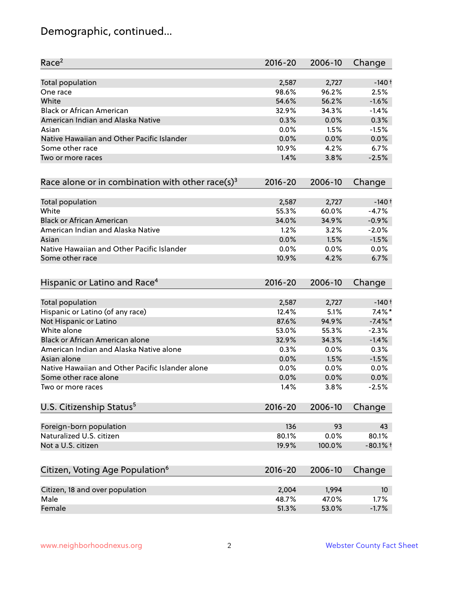# Demographic, continued...

| Race <sup>2</sup>                                            | 2016-20     | 2006-10 | Change          |
|--------------------------------------------------------------|-------------|---------|-----------------|
| <b>Total population</b>                                      | 2,587       | 2,727   | $-140+$         |
| One race                                                     | 98.6%       | 96.2%   | 2.5%            |
| White                                                        | 54.6%       | 56.2%   | $-1.6%$         |
| <b>Black or African American</b>                             | 32.9%       | 34.3%   | $-1.4%$         |
| American Indian and Alaska Native                            | 0.3%        | 0.0%    | 0.3%            |
| Asian                                                        | 0.0%        | 1.5%    | $-1.5%$         |
| Native Hawaiian and Other Pacific Islander                   | 0.0%        | 0.0%    | 0.0%            |
| Some other race                                              | 10.9%       | 4.2%    | 6.7%            |
| Two or more races                                            | 1.4%        | 3.8%    | $-2.5%$         |
| Race alone or in combination with other race(s) <sup>3</sup> | $2016 - 20$ | 2006-10 | Change          |
| Total population                                             | 2,587       | 2,727   | $-140+$         |
| White                                                        | 55.3%       | 60.0%   | $-4.7%$         |
| <b>Black or African American</b>                             | 34.0%       | 34.9%   | $-0.9%$         |
| American Indian and Alaska Native                            | 1.2%        | 3.2%    | $-2.0%$         |
| Asian                                                        | 0.0%        | 1.5%    | $-1.5%$         |
| Native Hawaiian and Other Pacific Islander                   | 0.0%        | 0.0%    | 0.0%            |
| Some other race                                              | 10.9%       | 4.2%    | 6.7%            |
| Hispanic or Latino and Race <sup>4</sup>                     | $2016 - 20$ | 2006-10 | Change          |
| <b>Total population</b>                                      | 2,587       | 2,727   | $-140+$         |
| Hispanic or Latino (of any race)                             | 12.4%       | 5.1%    | $7.4\%$ *       |
| Not Hispanic or Latino                                       | 87.6%       | 94.9%   | $-7.4\%$ *      |
| White alone                                                  | 53.0%       | 55.3%   | $-2.3%$         |
| Black or African American alone                              | 32.9%       | 34.3%   | $-1.4%$         |
| American Indian and Alaska Native alone                      | 0.3%        | 0.0%    | 0.3%            |
| Asian alone                                                  | 0.0%        | 1.5%    | $-1.5%$         |
| Native Hawaiian and Other Pacific Islander alone             | 0.0%        | 0.0%    | 0.0%            |
| Some other race alone                                        | 0.0%        | 0.0%    | 0.0%            |
| Two or more races                                            | 1.4%        | 3.8%    | $-2.5%$         |
| U.S. Citizenship Status <sup>5</sup>                         | $2016 - 20$ | 2006-10 | Change          |
| Foreign-born population                                      | 136         | 93      | 43              |
| Naturalized U.S. citizen                                     | 80.1%       | 0.0%    | 80.1%           |
| Not a U.S. citizen                                           | 19.9%       | 100.0%  | $-80.1%$ †      |
|                                                              | $2016 - 20$ | 2006-10 | Change          |
| Citizen, Voting Age Population <sup>6</sup>                  |             |         |                 |
| Citizen, 18 and over population                              | 2,004       | 1,994   | 10 <sup>°</sup> |
| Male                                                         | 48.7%       | 47.0%   | 1.7%            |
| Female                                                       | 51.3%       | 53.0%   | $-1.7%$         |
|                                                              |             |         |                 |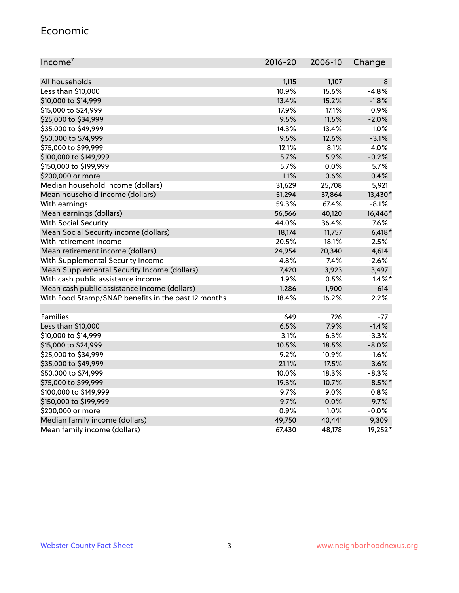#### Economic

| Income <sup>7</sup>                                 | 2016-20 | 2006-10 | Change    |
|-----------------------------------------------------|---------|---------|-----------|
|                                                     |         |         |           |
| All households                                      | 1,115   | 1,107   | 8         |
| Less than \$10,000                                  | 10.9%   | 15.6%   | $-4.8%$   |
| \$10,000 to \$14,999                                | 13.4%   | 15.2%   | $-1.8%$   |
| \$15,000 to \$24,999                                | 17.9%   | 17.1%   | 0.9%      |
| \$25,000 to \$34,999                                | 9.5%    | 11.5%   | $-2.0%$   |
| \$35,000 to \$49,999                                | 14.3%   | 13.4%   | 1.0%      |
| \$50,000 to \$74,999                                | 9.5%    | 12.6%   | $-3.1%$   |
| \$75,000 to \$99,999                                | 12.1%   | 8.1%    | 4.0%      |
| \$100,000 to \$149,999                              | 5.7%    | 5.9%    | $-0.2%$   |
| \$150,000 to \$199,999                              | 5.7%    | 0.0%    | 5.7%      |
| \$200,000 or more                                   | 1.1%    | 0.6%    | 0.4%      |
| Median household income (dollars)                   | 31,629  | 25,708  | 5,921     |
| Mean household income (dollars)                     | 51,294  | 37,864  | 13,430*   |
| With earnings                                       | 59.3%   | 67.4%   | $-8.1%$   |
| Mean earnings (dollars)                             | 56,566  | 40,120  | 16,446*   |
| <b>With Social Security</b>                         | 44.0%   | 36.4%   | 7.6%      |
| Mean Social Security income (dollars)               | 18,174  | 11,757  | $6,418*$  |
| With retirement income                              | 20.5%   | 18.1%   | 2.5%      |
| Mean retirement income (dollars)                    | 24,954  | 20,340  | 4,614     |
| With Supplemental Security Income                   | 4.8%    | $7.4\%$ | $-2.6%$   |
| Mean Supplemental Security Income (dollars)         | 7,420   | 3,923   | 3,497     |
| With cash public assistance income                  | 1.9%    | 0.5%    | $1.4\%$ * |
| Mean cash public assistance income (dollars)        | 1,286   | 1,900   | $-614$    |
| With Food Stamp/SNAP benefits in the past 12 months | 18.4%   | 16.2%   | 2.2%      |
|                                                     |         |         |           |
| Families                                            | 649     | 726     | $-77$     |
| Less than \$10,000                                  | 6.5%    | 7.9%    | $-1.4%$   |
| \$10,000 to \$14,999                                | 3.1%    | 6.3%    | $-3.3%$   |
| \$15,000 to \$24,999                                | 10.5%   | 18.5%   | $-8.0%$   |
| \$25,000 to \$34,999                                | 9.2%    | 10.9%   | $-1.6%$   |
| \$35,000 to \$49,999                                | 21.1%   | 17.5%   | 3.6%      |
| \$50,000 to \$74,999                                | 10.0%   | 18.3%   | $-8.3%$   |
| \$75,000 to \$99,999                                | 19.3%   | 10.7%   | $8.5\%$ * |
| \$100,000 to \$149,999                              | 9.7%    | $9.0\%$ | 0.8%      |
| \$150,000 to \$199,999                              | 9.7%    | 0.0%    | 9.7%      |
| \$200,000 or more                                   | 0.9%    | 1.0%    | $-0.0%$   |
| Median family income (dollars)                      | 49,750  | 40,441  | 9,309     |
| Mean family income (dollars)                        | 67,430  | 48,178  | 19,252*   |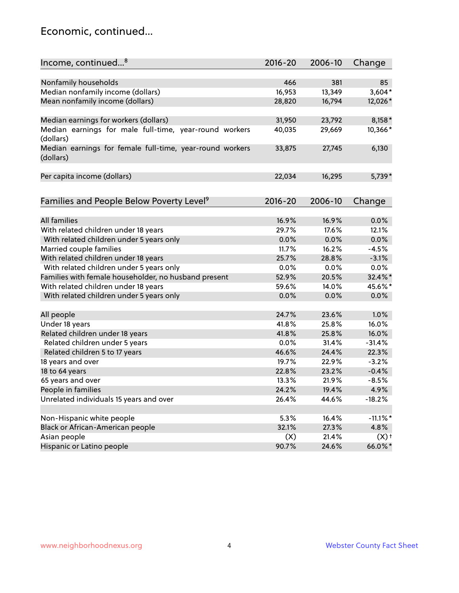### Economic, continued...

| Income, continued <sup>8</sup>                           | $2016 - 20$ | 2006-10 | Change             |
|----------------------------------------------------------|-------------|---------|--------------------|
|                                                          |             |         |                    |
| Nonfamily households                                     | 466         | 381     | 85                 |
| Median nonfamily income (dollars)                        | 16,953      | 13,349  | $3,604*$           |
| Mean nonfamily income (dollars)                          | 28,820      | 16,794  | 12,026*            |
|                                                          |             |         |                    |
| Median earnings for workers (dollars)                    | 31,950      | 23,792  | $8,158*$           |
| Median earnings for male full-time, year-round workers   | 40,035      | 29,669  | 10,366*            |
| (dollars)                                                |             |         |                    |
| Median earnings for female full-time, year-round workers | 33,875      | 27,745  | 6,130              |
| (dollars)                                                |             |         |                    |
|                                                          |             |         |                    |
| Per capita income (dollars)                              | 22,034      | 16,295  | 5,739*             |
|                                                          |             |         |                    |
| Families and People Below Poverty Level <sup>9</sup>     | $2016 - 20$ | 2006-10 | Change             |
|                                                          |             |         |                    |
| <b>All families</b>                                      | 16.9%       | 16.9%   | 0.0%               |
| With related children under 18 years                     | 29.7%       | 17.6%   | 12.1%              |
| With related children under 5 years only                 | 0.0%        | 0.0%    | 0.0%               |
| Married couple families                                  | 11.7%       | 16.2%   | $-4.5%$            |
| With related children under 18 years                     | 25.7%       | 28.8%   | $-3.1%$            |
| With related children under 5 years only                 | 0.0%        | 0.0%    | 0.0%               |
| Families with female householder, no husband present     | 52.9%       | 20.5%   | 32.4%*             |
| With related children under 18 years                     | 59.6%       | 14.0%   | 45.6%*             |
| With related children under 5 years only                 | 0.0%        | 0.0%    | 0.0%               |
| All people                                               | 24.7%       | 23.6%   | 1.0%               |
| Under 18 years                                           | 41.8%       | 25.8%   | 16.0%              |
| Related children under 18 years                          | 41.8%       | 25.8%   | 16.0%              |
| Related children under 5 years                           | 0.0%        | 31.4%   | $-31.4%$           |
| Related children 5 to 17 years                           |             |         |                    |
|                                                          | 46.6%       | 24.4%   | 22.3%              |
| 18 years and over                                        | 19.7%       | 22.9%   | $-3.2%$            |
| 18 to 64 years                                           | 22.8%       | 23.2%   | $-0.4%$            |
| 65 years and over                                        | 13.3%       | 21.9%   | $-8.5%$            |
| People in families                                       | 24.2%       | 19.4%   | 4.9%               |
| Unrelated individuals 15 years and over                  | 26.4%       | 44.6%   | $-18.2%$           |
|                                                          |             |         |                    |
| Non-Hispanic white people                                | 5.3%        | 16.4%   | $-11.1\%$ *        |
| Black or African-American people                         | 32.1%       | 27.3%   | 4.8%               |
| Asian people                                             | (X)         | 21.4%   | $(X)$ <sup>+</sup> |
| Hispanic or Latino people                                | 90.7%       | 24.6%   | 66.0%*             |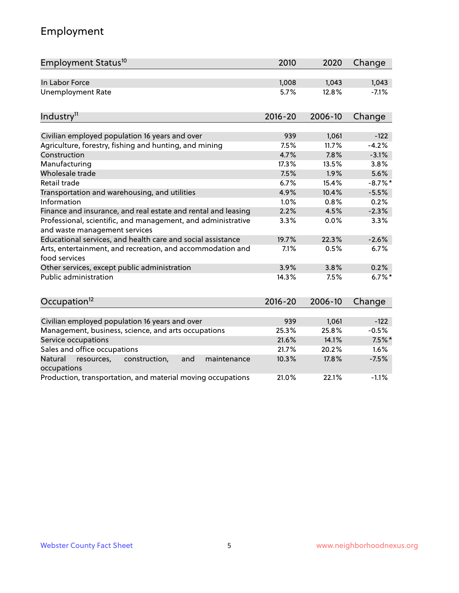# Employment

| Employment Status <sup>10</sup>                                                               | 2010        | 2020    | Change     |
|-----------------------------------------------------------------------------------------------|-------------|---------|------------|
| In Labor Force                                                                                | 1,008       | 1,043   | 1,043      |
| <b>Unemployment Rate</b>                                                                      | 5.7%        | 12.8%   | $-7.1%$    |
| Industry <sup>11</sup>                                                                        | $2016 - 20$ | 2006-10 | Change     |
|                                                                                               |             |         |            |
| Civilian employed population 16 years and over                                                | 939         | 1,061   | $-122$     |
| Agriculture, forestry, fishing and hunting, and mining                                        | 7.5%        | 11.7%   | $-4.2%$    |
| Construction                                                                                  | 4.7%        | 7.8%    | $-3.1%$    |
| Manufacturing                                                                                 | 17.3%       | 13.5%   | 3.8%       |
| Wholesale trade                                                                               | 7.5%        | 1.9%    | 5.6%       |
| Retail trade                                                                                  | 6.7%        | 15.4%   | $-8.7\%$ * |
| Transportation and warehousing, and utilities                                                 | 4.9%        | 10.4%   | $-5.5%$    |
| Information                                                                                   | 1.0%        | 0.8%    | 0.2%       |
| Finance and insurance, and real estate and rental and leasing                                 | 2.2%        | 4.5%    | $-2.3%$    |
| Professional, scientific, and management, and administrative<br>and waste management services | 3.3%        | 0.0%    | 3.3%       |
| Educational services, and health care and social assistance                                   | 19.7%       | 22.3%   | $-2.6%$    |
| Arts, entertainment, and recreation, and accommodation and<br>food services                   | 7.1%        | 0.5%    | 6.7%       |
| Other services, except public administration                                                  | 3.9%        | 3.8%    | 0.2%       |
| <b>Public administration</b>                                                                  | 14.3%       | 7.5%    | $6.7\%$ *  |
| Occupation <sup>12</sup>                                                                      | $2016 - 20$ | 2006-10 | Change     |
|                                                                                               |             |         |            |
| Civilian employed population 16 years and over                                                | 939         | 1,061   | $-122$     |
| Management, business, science, and arts occupations                                           | 25.3%       | 25.8%   | $-0.5%$    |
| Service occupations                                                                           | 21.6%       | 14.1%   | $7.5%$ *   |
| Sales and office occupations                                                                  | 21.7%       | 20.2%   | 1.6%       |
| Natural<br>resources,<br>construction,<br>and<br>maintenance<br>occupations                   | 10.3%       | 17.8%   | $-7.5%$    |
| Production, transportation, and material moving occupations                                   | 21.0%       | 22.1%   | $-1.1%$    |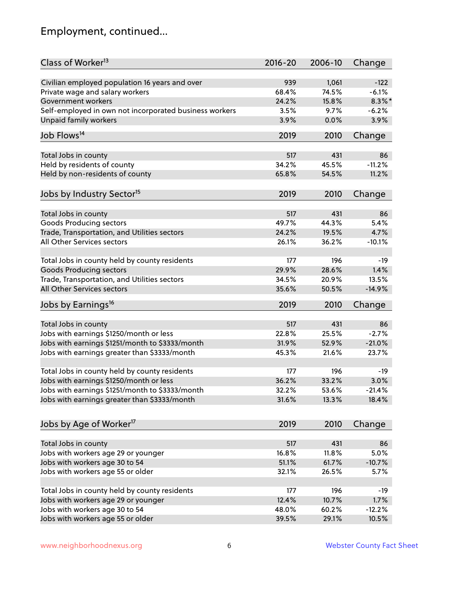# Employment, continued...

| Class of Worker <sup>13</sup>                          | $2016 - 20$ | 2006-10 | Change    |
|--------------------------------------------------------|-------------|---------|-----------|
| Civilian employed population 16 years and over         | 939         | 1,061   | $-122$    |
| Private wage and salary workers                        | 68.4%       | 74.5%   | $-6.1%$   |
| Government workers                                     | 24.2%       | 15.8%   | $8.3\%$ * |
| Self-employed in own not incorporated business workers | 3.5%        | 9.7%    | $-6.2%$   |
| <b>Unpaid family workers</b>                           | 3.9%        | 0.0%    | 3.9%      |
|                                                        |             |         |           |
| Job Flows <sup>14</sup>                                | 2019        | 2010    | Change    |
| Total Jobs in county                                   | 517         | 431     | 86        |
| Held by residents of county                            | 34.2%       | 45.5%   | $-11.2%$  |
| Held by non-residents of county                        | 65.8%       | 54.5%   | 11.2%     |
|                                                        |             |         |           |
| Jobs by Industry Sector <sup>15</sup>                  | 2019        | 2010    | Change    |
| Total Jobs in county                                   | 517         | 431     | 86        |
| Goods Producing sectors                                | 49.7%       | 44.3%   | 5.4%      |
| Trade, Transportation, and Utilities sectors           | 24.2%       | 19.5%   | 4.7%      |
| All Other Services sectors                             | 26.1%       | 36.2%   | $-10.1%$  |
|                                                        |             |         |           |
| Total Jobs in county held by county residents          | 177         | 196     | $-19$     |
| <b>Goods Producing sectors</b>                         | 29.9%       | 28.6%   | 1.4%      |
| Trade, Transportation, and Utilities sectors           | 34.5%       | 20.9%   | 13.5%     |
| All Other Services sectors                             | 35.6%       | 50.5%   | $-14.9%$  |
| Jobs by Earnings <sup>16</sup>                         | 2019        | 2010    | Change    |
|                                                        |             |         |           |
| Total Jobs in county                                   | 517         | 431     | 86        |
| Jobs with earnings \$1250/month or less                | 22.8%       | 25.5%   | $-2.7%$   |
| Jobs with earnings \$1251/month to \$3333/month        | 31.9%       | 52.9%   | $-21.0%$  |
| Jobs with earnings greater than \$3333/month           | 45.3%       | 21.6%   | 23.7%     |
| Total Jobs in county held by county residents          | 177         | 196     | -19       |
| Jobs with earnings \$1250/month or less                | 36.2%       | 33.2%   | 3.0%      |
| Jobs with earnings \$1251/month to \$3333/month        | 32.2%       | 53.6%   | $-21.4\%$ |
| Jobs with earnings greater than \$3333/month           | 31.6%       | 13.3%   | 18.4%     |
|                                                        |             |         |           |
| Jobs by Age of Worker <sup>17</sup>                    | 2019        | 2010    | Change    |
|                                                        |             |         |           |
| Total Jobs in county                                   | 517         | 431     | 86        |
| Jobs with workers age 29 or younger                    | 16.8%       | 11.8%   | 5.0%      |
| Jobs with workers age 30 to 54                         | 51.1%       | 61.7%   | $-10.7%$  |
| Jobs with workers age 55 or older                      | 32.1%       | 26.5%   | 5.7%      |
| Total Jobs in county held by county residents          | 177         | 196     | -19       |
| Jobs with workers age 29 or younger                    | 12.4%       | 10.7%   | 1.7%      |
| Jobs with workers age 30 to 54                         | 48.0%       | 60.2%   | $-12.2%$  |
| Jobs with workers age 55 or older                      | 39.5%       | 29.1%   | 10.5%     |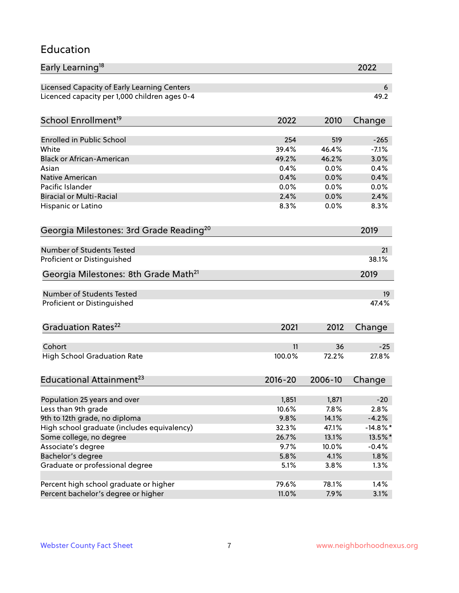#### Education

| Early Learning <sup>18</sup>                        |             |         | 2022        |
|-----------------------------------------------------|-------------|---------|-------------|
| Licensed Capacity of Early Learning Centers         |             |         | 6           |
| Licenced capacity per 1,000 children ages 0-4       |             |         | 49.2        |
| School Enrollment <sup>19</sup>                     | 2022        | 2010    | Change      |
|                                                     |             |         |             |
| <b>Enrolled in Public School</b>                    | 254         | 519     | $-265$      |
| White                                               | 39.4%       | 46.4%   | $-7.1%$     |
| <b>Black or African-American</b>                    | 49.2%       | 46.2%   | 3.0%        |
| Asian                                               | 0.4%        | 0.0%    | 0.4%        |
| Native American                                     | 0.4%        | 0.0%    | 0.4%        |
| Pacific Islander                                    | 0.0%        | 0.0%    | 0.0%        |
| <b>Biracial or Multi-Racial</b>                     | 2.4%        | 0.0%    | 2.4%        |
| Hispanic or Latino                                  | 8.3%        | 0.0%    | 8.3%        |
| Georgia Milestones: 3rd Grade Reading <sup>20</sup> |             |         | 2019        |
| <b>Number of Students Tested</b>                    |             |         |             |
|                                                     |             |         | 21          |
| Proficient or Distinguished                         |             |         | 38.1%       |
| Georgia Milestones: 8th Grade Math <sup>21</sup>    |             |         | 2019        |
| <b>Number of Students Tested</b>                    |             |         | 19          |
| Proficient or Distinguished                         |             |         | 47.4%       |
| Graduation Rates <sup>22</sup>                      | 2021        | 2012    | Change      |
| Cohort                                              | 11          | 36      | $-25$       |
| <b>High School Graduation Rate</b>                  | 100.0%      | 72.2%   | 27.8%       |
|                                                     |             |         |             |
| Educational Attainment <sup>23</sup>                | $2016 - 20$ | 2006-10 | Change      |
| Population 25 years and over                        | 1,851       | 1,871   | $-20$       |
| Less than 9th grade                                 | 10.6%       | 7.8%    | 2.8%        |
| 9th to 12th grade, no diploma                       | 9.8%        | 14.1%   | $-4.2%$     |
| High school graduate (includes equivalency)         | 32.3%       | 47.1%   | $-14.8\%$ * |
| Some college, no degree                             | 26.7%       | 13.1%   |             |
|                                                     |             |         | 13.5%*      |
| Associate's degree                                  | 9.7%        | 10.0%   | $-0.4%$     |
| Bachelor's degree                                   | 5.8%        | 4.1%    | 1.8%        |
| Graduate or professional degree                     | 5.1%        | 3.8%    | 1.3%        |
| Percent high school graduate or higher              | 79.6%       | 78.1%   | 1.4%        |
| Percent bachelor's degree or higher                 | 11.0%       | 7.9%    | 3.1%        |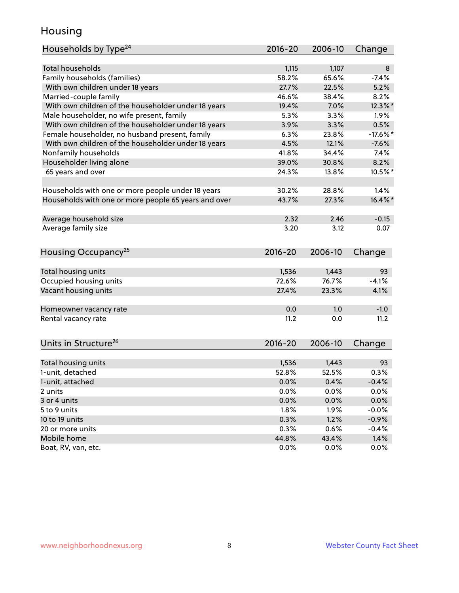### Housing

| Households by Type <sup>24</sup>                     | 2016-20 | 2006-10 | Change     |
|------------------------------------------------------|---------|---------|------------|
|                                                      |         |         |            |
| <b>Total households</b>                              | 1,115   | 1,107   | 8          |
| Family households (families)                         | 58.2%   | 65.6%   | $-7.4%$    |
| With own children under 18 years                     | 27.7%   | 22.5%   | 5.2%       |
| Married-couple family                                | 46.6%   | 38.4%   | 8.2%       |
| With own children of the householder under 18 years  | 19.4%   | 7.0%    | 12.3%*     |
| Male householder, no wife present, family            | 5.3%    | 3.3%    | 1.9%       |
| With own children of the householder under 18 years  | 3.9%    | 3.3%    | 0.5%       |
| Female householder, no husband present, family       | 6.3%    | 23.8%   | $-17.6%$   |
| With own children of the householder under 18 years  | 4.5%    | 12.1%   | $-7.6%$    |
| Nonfamily households                                 | 41.8%   | 34.4%   | 7.4%       |
| Householder living alone                             | 39.0%   | 30.8%   | 8.2%       |
| 65 years and over                                    | 24.3%   | 13.8%   | 10.5%*     |
| Households with one or more people under 18 years    | 30.2%   | 28.8%   | 1.4%       |
| Households with one or more people 65 years and over | 43.7%   | 27.3%   | $16.4\%$ * |
| Average household size                               | 2.32    | 2.46    | $-0.15$    |
| Average family size                                  | 3.20    | 3.12    | 0.07       |
|                                                      |         |         |            |
| Housing Occupancy <sup>25</sup>                      | 2016-20 | 2006-10 | Change     |
| Total housing units                                  | 1,536   | 1,443   | 93         |
| Occupied housing units                               | 72.6%   | 76.7%   | $-4.1%$    |
| Vacant housing units                                 | 27.4%   | 23.3%   | 4.1%       |
|                                                      |         |         |            |
| Homeowner vacancy rate                               | 0.0     | 1.0     | $-1.0$     |
| Rental vacancy rate                                  | 11.2    | 0.0     | 11.2       |
| Units in Structure <sup>26</sup>                     | 2016-20 | 2006-10 | Change     |
| Total housing units                                  | 1,536   | 1,443   | 93         |
| 1-unit, detached                                     | 52.8%   | 52.5%   | 0.3%       |
| 1-unit, attached                                     | 0.0%    | 0.4%    | $-0.4%$    |
| 2 units                                              | 0.0%    | 0.0%    | 0.0%       |
| 3 or 4 units                                         | 0.0%    | 0.0%    | 0.0%       |
| 5 to 9 units                                         | 1.8%    | 1.9%    | $-0.0%$    |
| 10 to 19 units                                       | 0.3%    | 1.2%    | $-0.9%$    |
| 20 or more units                                     | 0.3%    | 0.6%    | $-0.4%$    |
| Mobile home                                          | 44.8%   | 43.4%   | 1.4%       |
| Boat, RV, van, etc.                                  | 0.0%    | 0.0%    | 0.0%       |
|                                                      |         |         |            |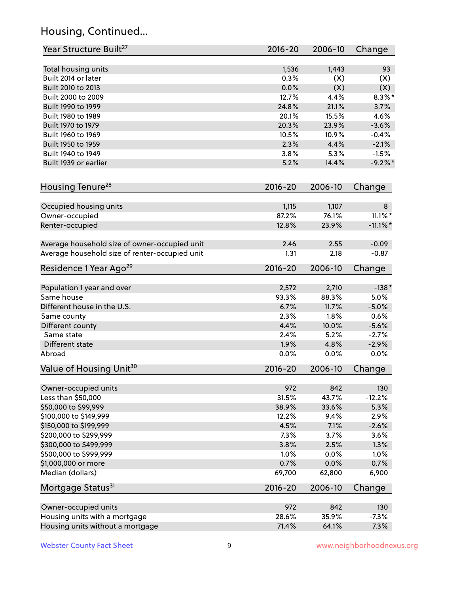# Housing, Continued...

| Year Structure Built <sup>27</sup>             | 2016-20     | 2006-10 | Change      |
|------------------------------------------------|-------------|---------|-------------|
| Total housing units                            | 1,536       | 1,443   | 93          |
| Built 2014 or later                            | 0.3%        | (X)     | (X)         |
| Built 2010 to 2013                             | 0.0%        | (X)     | (X)         |
| Built 2000 to 2009                             | 12.7%       | 4.4%    | $8.3\%$ *   |
| Built 1990 to 1999                             | 24.8%       | 21.1%   | 3.7%        |
| Built 1980 to 1989                             | 20.1%       | 15.5%   | 4.6%        |
| Built 1970 to 1979                             | 20.3%       | 23.9%   | $-3.6%$     |
| Built 1960 to 1969                             | 10.5%       | 10.9%   | $-0.4%$     |
| Built 1950 to 1959                             | 2.3%        | 4.4%    | $-2.1%$     |
| Built 1940 to 1949                             | 3.8%        | 5.3%    | $-1.5%$     |
| Built 1939 or earlier                          | 5.2%        | 14.4%   | $-9.2%$     |
|                                                |             |         |             |
| Housing Tenure <sup>28</sup>                   | $2016 - 20$ | 2006-10 | Change      |
| Occupied housing units                         | 1,115       | 1,107   | 8           |
| Owner-occupied                                 | 87.2%       | 76.1%   | $11.1\%$ *  |
| Renter-occupied                                | 12.8%       | 23.9%   | $-11.1\%$ * |
|                                                |             |         |             |
| Average household size of owner-occupied unit  | 2.46        | 2.55    | $-0.09$     |
| Average household size of renter-occupied unit | 1.31        | 2.18    | $-0.87$     |
| Residence 1 Year Ago <sup>29</sup>             | 2016-20     | 2006-10 | Change      |
|                                                |             |         |             |
| Population 1 year and over                     | 2,572       | 2,710   | $-138*$     |
| Same house                                     | 93.3%       | 88.3%   | 5.0%        |
| Different house in the U.S.                    | 6.7%        | 11.7%   | $-5.0%$     |
| Same county                                    | 2.3%        | 1.8%    | 0.6%        |
| Different county                               | 4.4%        | 10.0%   | $-5.6%$     |
| Same state                                     | 2.4%        | 5.2%    | $-2.7%$     |
| Different state                                | 1.9%        | 4.8%    | $-2.9%$     |
| Abroad                                         | 0.0%        | 0.0%    | 0.0%        |
| Value of Housing Unit <sup>30</sup>            | 2016-20     | 2006-10 | Change      |
| Owner-occupied units                           | 972         | 842     | 130         |
| Less than \$50,000                             | 31.5%       | 43.7%   | $-12.2%$    |
| \$50,000 to \$99,999                           | 38.9%       | 33.6%   | 5.3%        |
| \$100,000 to \$149,999                         | 12.2%       | 9.4%    | 2.9%        |
| \$150,000 to \$199,999                         | 4.5%        | 7.1%    | $-2.6%$     |
| \$200,000 to \$299,999                         | 7.3%        | 3.7%    | 3.6%        |
| \$300,000 to \$499,999                         | 3.8%        | 2.5%    | 1.3%        |
| \$500,000 to \$999,999                         | 1.0%        | 0.0%    | 1.0%        |
| \$1,000,000 or more                            | 0.7%        | 0.0%    | 0.7%        |
| Median (dollars)                               | 69,700      | 62,800  | 6,900       |
| Mortgage Status <sup>31</sup>                  | $2016 - 20$ | 2006-10 | Change      |
|                                                |             |         |             |
| Owner-occupied units                           | 972         | 842     | 130         |
| Housing units with a mortgage                  | 28.6%       | 35.9%   | $-7.3%$     |
| Housing units without a mortgage               | 71.4%       | 64.1%   | 7.3%        |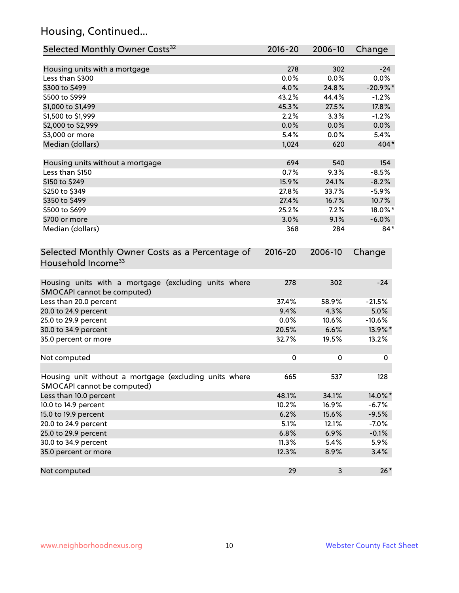# Housing, Continued...

| Selected Monthly Owner Costs <sup>32</sup>                                            | 2016-20   | 2006-10 | Change     |
|---------------------------------------------------------------------------------------|-----------|---------|------------|
| Housing units with a mortgage                                                         | 278       | 302     | $-24$      |
| Less than \$300                                                                       | 0.0%      | 0.0%    | 0.0%       |
| \$300 to \$499                                                                        | 4.0%      | 24.8%   | $-20.9%$ * |
| \$500 to \$999                                                                        | 43.2%     | 44.4%   | $-1.2%$    |
| \$1,000 to \$1,499                                                                    | 45.3%     | 27.5%   | 17.8%      |
| \$1,500 to \$1,999                                                                    | 2.2%      | 3.3%    | $-1.2%$    |
| \$2,000 to \$2,999                                                                    | 0.0%      | 0.0%    | 0.0%       |
| \$3,000 or more                                                                       | 5.4%      | 0.0%    | 5.4%       |
| Median (dollars)                                                                      | 1,024     | 620     | 404*       |
|                                                                                       |           |         |            |
| Housing units without a mortgage                                                      | 694       | 540     | 154        |
| Less than \$150                                                                       | 0.7%      | 9.3%    | $-8.5%$    |
| \$150 to \$249                                                                        | 15.9%     | 24.1%   | $-8.2%$    |
| \$250 to \$349                                                                        | 27.8%     | 33.7%   | $-5.9%$    |
| \$350 to \$499                                                                        | 27.4%     | 16.7%   | 10.7%      |
| \$500 to \$699                                                                        | 25.2%     | 7.2%    | 18.0%*     |
| \$700 or more                                                                         | 3.0%      | 9.1%    | $-6.0\%$   |
| Median (dollars)                                                                      | 368       | 284     | $84*$      |
| Selected Monthly Owner Costs as a Percentage of<br>Household Income <sup>33</sup>     |           |         | Change     |
| Housing units with a mortgage (excluding units where<br>SMOCAPI cannot be computed)   | 278       | 302     | $-24$      |
| Less than 20.0 percent                                                                | 37.4%     | 58.9%   | $-21.5%$   |
| 20.0 to 24.9 percent                                                                  | 9.4%      | 4.3%    | 5.0%       |
| 25.0 to 29.9 percent                                                                  | 0.0%      | 10.6%   | $-10.6%$   |
| 30.0 to 34.9 percent                                                                  | 20.5%     | 6.6%    | 13.9%*     |
| 35.0 percent or more                                                                  | 32.7%     | 19.5%   | 13.2%      |
| Not computed                                                                          | $\pmb{0}$ | 0       | 0          |
| Housing unit without a mortgage (excluding units where<br>SMOCAPI cannot be computed) | 665       | 537     | 128        |
| Less than 10.0 percent                                                                | 48.1%     | 34.1%   | 14.0%*     |
| 10.0 to 14.9 percent                                                                  | 10.2%     | 16.9%   | $-6.7%$    |
| 15.0 to 19.9 percent                                                                  | 6.2%      | 15.6%   | $-9.5%$    |
| 20.0 to 24.9 percent                                                                  | 5.1%      | 12.1%   | $-7.0%$    |
| 25.0 to 29.9 percent                                                                  | 6.8%      | 6.9%    | $-0.1%$    |
| 30.0 to 34.9 percent                                                                  | 11.3%     | 5.4%    | 5.9%       |
| 35.0 percent or more                                                                  | 12.3%     | 8.9%    | 3.4%       |
| Not computed                                                                          | 29        | 3       | $26*$      |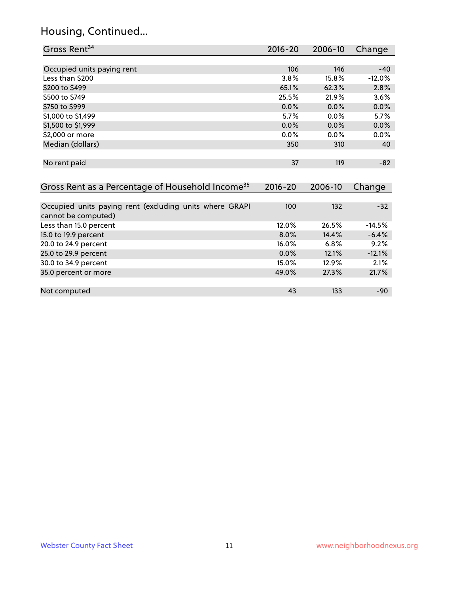#### Housing, Continued...

| Gross Rent <sup>34</sup>                                     | 2016-20     | 2006-10 | Change   |
|--------------------------------------------------------------|-------------|---------|----------|
|                                                              |             |         |          |
| Occupied units paying rent                                   | 106         | 146     | $-40$    |
| Less than \$200                                              | 3.8%        | 15.8%   | $-12.0%$ |
| \$200 to \$499                                               | 65.1%       | 62.3%   | 2.8%     |
| \$500 to \$749                                               | 25.5%       | 21.9%   | 3.6%     |
| \$750 to \$999                                               | 0.0%        | 0.0%    | 0.0%     |
| \$1,000 to \$1,499                                           | 5.7%        | $0.0\%$ | 5.7%     |
| \$1,500 to \$1,999                                           | 0.0%        | 0.0%    | 0.0%     |
| \$2,000 or more                                              | 0.0%        | 0.0%    | 0.0%     |
| Median (dollars)                                             | 350         | 310     | 40       |
|                                                              |             |         |          |
| No rent paid                                                 | 37          | 119     | $-82$    |
|                                                              |             |         |          |
| Gross Rent as a Percentage of Household Income <sup>35</sup> | $2016 - 20$ | 2006-10 | Change   |
|                                                              |             |         |          |
| Occupied units paying rent (excluding units where GRAPI      | 100         | 132     | $-32$    |
| cannot be computed)                                          |             |         |          |
| Less than 15.0 percent                                       | 12.0%       | 26.5%   | $-14.5%$ |
| 15.0 to 19.9 percent                                         | $8.0\%$     | 14.4%   | $-6.4%$  |
| 20.0 to 24.9 percent                                         | 16.0%       | 6.8%    | 9.2%     |

25.0 to 29.9 percent 0.0% 12.1% -12.1% 30.0 to 34.9 percent 2.1% and 30.0 to 34.9 percent 2.1% and 35.0 control 2.1% and 35.0 control 2.1% and 35.0 control 2.1% and 35.0 control 2.1% and 35.0 control 2.1% and 35.0 control 2.1% and 35.0 control 2.17% and 35.0 co

Not computed and the set of the set of the set of the set of the set of the set of the set of the set of the set of the set of the set of the set of the set of the set of the set of the set of the set of the set of the set

35.0 percent or more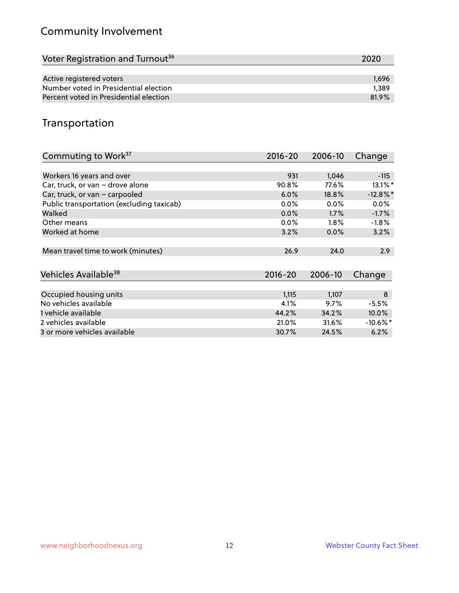# Community Involvement

| Voter Registration and Turnout <sup>36</sup> | 2020  |
|----------------------------------------------|-------|
|                                              |       |
| Active registered voters                     | 1.696 |
| Number voted in Presidential election        | 1.389 |
| Percent voted in Presidential election       | 81.9% |

## Transportation

| Commuting to Work <sup>37</sup>           | $2016 - 20$ | 2006-10 | Change                 |
|-------------------------------------------|-------------|---------|------------------------|
|                                           |             |         |                        |
| Workers 16 years and over                 | 931         | 1,046   | $-115$                 |
| Car, truck, or van - drove alone          | 90.8%       | 77.6%   | $13.1\%$ *             |
| Car, truck, or van - carpooled            | 6.0%        | 18.8%   | $-12.8\%$ *            |
| Public transportation (excluding taxicab) | $0.0\%$     | $0.0\%$ | $0.0\%$                |
| Walked                                    | $0.0\%$     | $1.7\%$ | $-1.7%$                |
| Other means                               | $0.0\%$     | $1.8\%$ | $-1.8%$                |
| Worked at home                            | 3.2%        | $0.0\%$ | 3.2%                   |
|                                           |             |         |                        |
| Mean travel time to work (minutes)        | 26.9        | 24.0    | 2.9                    |
|                                           |             |         |                        |
| Vehicles Available <sup>38</sup>          | $2016 - 20$ | 2006-10 | Change                 |
|                                           |             |         |                        |
| Occupied housing units                    | 1,115       | 1,107   | 8                      |
| No vehicles available                     | 4.1%        | 9.7%    | $-5.5%$                |
| 1 vehicle available                       | 44.2%       | 34.2%   | $10.0\%$               |
| 2 vehicles available                      | 21.0%       | 31.6%   | $-10.6\%$ <sup>*</sup> |
| 3 or more vehicles available              | 30.7%       | 24.5%   | 6.2%                   |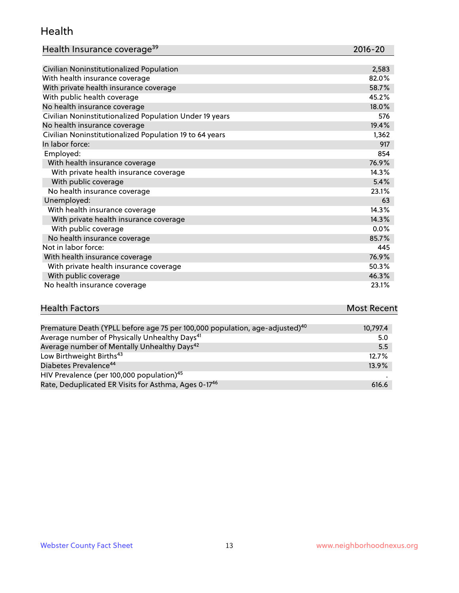#### Health

| Health Insurance coverage <sup>39</sup> | 2016-20 |
|-----------------------------------------|---------|
|-----------------------------------------|---------|

| Civilian Noninstitutionalized Population                | 2,583 |
|---------------------------------------------------------|-------|
| With health insurance coverage                          | 82.0% |
| With private health insurance coverage                  | 58.7% |
| With public health coverage                             | 45.2% |
| No health insurance coverage                            | 18.0% |
| Civilian Noninstitutionalized Population Under 19 years | 576   |
| No health insurance coverage                            | 19.4% |
| Civilian Noninstitutionalized Population 19 to 64 years | 1,362 |
| In labor force:                                         | 917   |
| Employed:                                               | 854   |
| With health insurance coverage                          | 76.9% |
| With private health insurance coverage                  | 14.3% |
| With public coverage                                    | 5.4%  |
| No health insurance coverage                            | 23.1% |
| Unemployed:                                             | 63    |
| With health insurance coverage                          | 14.3% |
| With private health insurance coverage                  | 14.3% |
| With public coverage                                    | 0.0%  |
| No health insurance coverage                            | 85.7% |
| Not in labor force:                                     | 445   |
| With health insurance coverage                          | 76.9% |
| With private health insurance coverage                  | 50.3% |
| With public coverage                                    | 46.3% |
| No health insurance coverage                            | 23.1% |

| <b>Health Factors</b>                                                                   | <b>Most Recent</b> |
|-----------------------------------------------------------------------------------------|--------------------|
|                                                                                         |                    |
| Premature Death (YPLL before age 75 per 100,000 population, age-adjusted) <sup>40</sup> | 10,797.4           |
| Average number of Physically Unhealthy Days <sup>41</sup>                               | 5.0                |
| Average number of Mentally Unhealthy Days <sup>42</sup>                                 | 5.5                |
| Low Birthweight Births <sup>43</sup>                                                    | 12.7%              |

| Diabetes Prevalence <sup>44</sup>                                | $13.9\%$ |
|------------------------------------------------------------------|----------|
| HIV Prevalence (per 100,000 population) <sup>45</sup>            |          |
| Rate, Deduplicated ER Visits for Asthma, Ages 0-17 <sup>46</sup> | 616.6    |